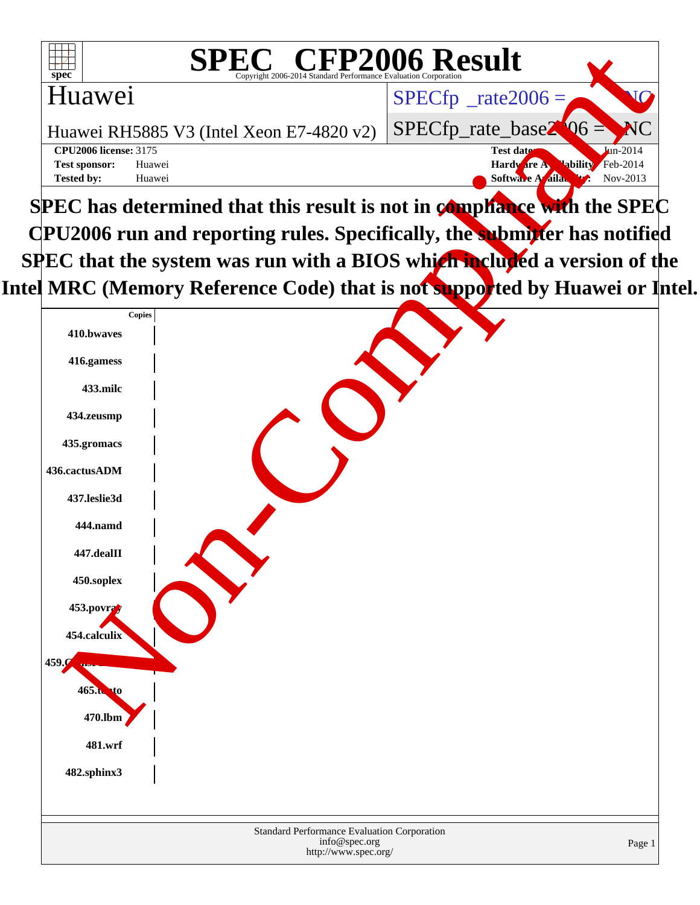| <sup>'®</sup> CFP2006 Result<br>SPE<br>Copyright 2006-2014 Standard Performance Evaluation Corporation<br>$spec^*$ |                                                  |
|--------------------------------------------------------------------------------------------------------------------|--------------------------------------------------|
| Huawei                                                                                                             | $SPECfp^{\circ}$ _rate2006 =                     |
| Huawei RH5885 V3 (Intel Xeon E7-4820 v2)                                                                           | $SPECfp\_rate\_base2$ 06 = NC                    |
| <b>CPU2006 license: 3175</b>                                                                                       | $\text{Lin}-2014$<br>Test date:                  |
| Huawei<br><b>Test sponsor:</b>                                                                                     | Feb-2014<br><b>Hardware A</b><br><b>lability</b> |
| <b>Tested by:</b><br>Huawei                                                                                        | Nov-2013<br>Softwa<br>aila.                      |
| SPEC has determined that this result is not in compliance with the SPEC                                            |                                                  |

**CPU2006 run and reporting rules. Specifically, the submitter has notified SPEC** that the system was run with a BIOS which included a version of the Intel MRC (Memory Reference Code) that is not supported by Huawei or Intel.

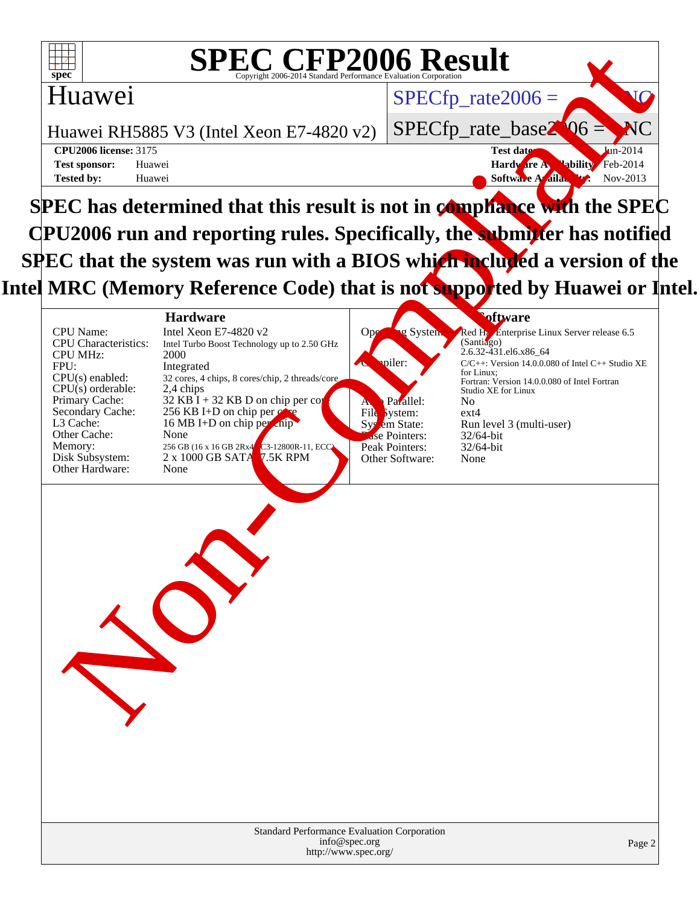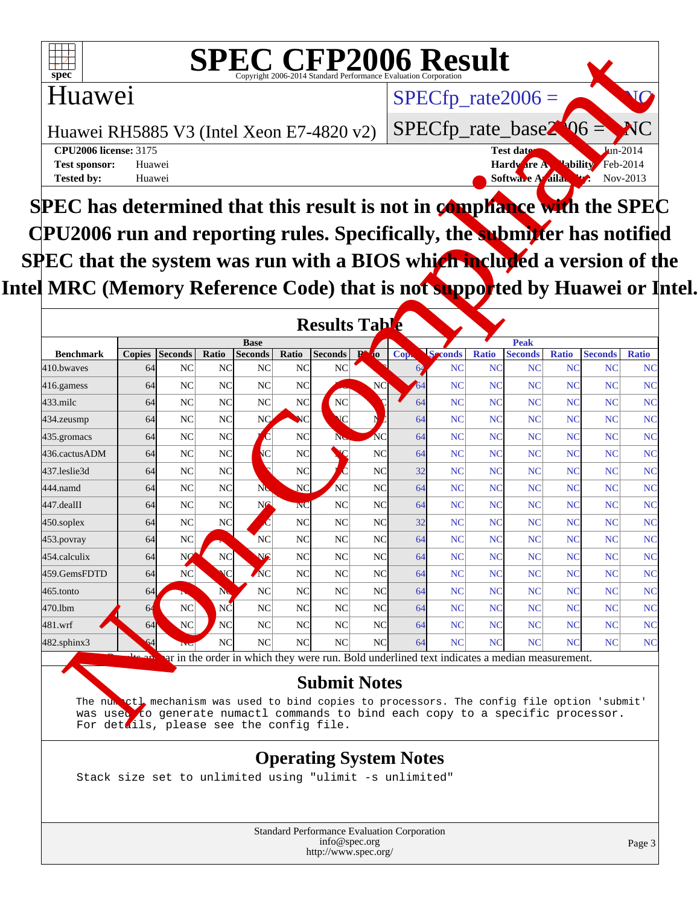

# **SPEC CFP2006 Result**  $SPECTp\_rate2006 =$

### Huawei

Huawei RH5885 V3 (Intel Xeon E7-4820 v2)

**[Tested by:](http://www.spec.org/auto/cpu2006/Docs/result-fields.html#Testedby)** Huawei **[Software Availability:](http://www.spec.org/auto/cpu2006/Docs/result-fields.html#SoftwareAvailability)** Nov-2013

**[CPU2006 license:](http://www.spec.org/auto/cpu2006/Docs/result-fields.html#CPU2006license)** 3175 **Test date:** Jun-2014 **[Test sponsor:](http://www.spec.org/auto/cpu2006/Docs/result-fields.html#Testsponsor)** Huawei **Hardware Availability**: Feb-2014

SPECfp\_rate\_base2<sup>00</sup>6

**SPEC has determined that this result is not in compliance with the SPEC CPU2006 run and reporting rules. Specifically, the submitter has notified SPEC that the system was run with a BIOS which included a version of the** Intel MRC (Memory Reference Code) that is not supported by Huawei or Intel.

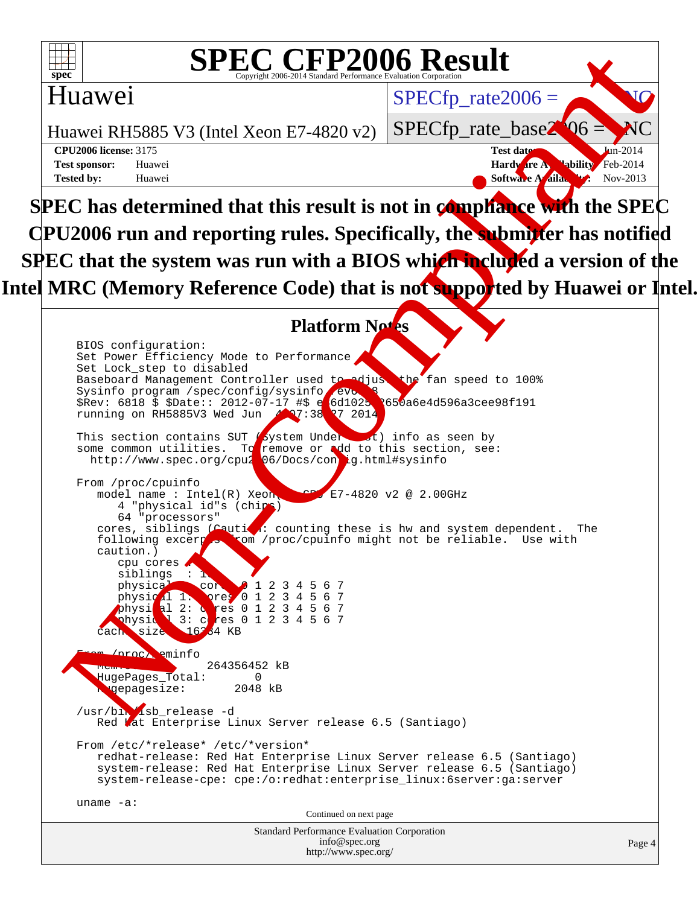

### **SPEC CFP2006 Result**  $\overline{\text{Copyright } 2006\text{-}2014 \text{ Standard Performance Ev}}$

### Huawei

Huawei RH5885 V3 (Intel Xeon E7-4820 v2)

**[Tested by:](http://www.spec.org/auto/cpu2006/Docs/result-fields.html#Testedby)** Huawei **[Software Availability:](http://www.spec.org/auto/cpu2006/Docs/result-fields.html#SoftwareAvailability)** Nov-2013

**[CPU2006 license:](http://www.spec.org/auto/cpu2006/Docs/result-fields.html#CPU2006license)** 3175 **Test date:** Jun-2014 **[Test sponsor:](http://www.spec.org/auto/cpu2006/Docs/result-fields.html#Testsponsor)** Huawei **Hardware Availability**: Feb-2014

SPECfp\_rate $2006 =$ 

SPECfp\_rate\_base2

**SPEC has determined that this result is not in compliance with the SPEC CPU2006 run and reporting rules. Specifically, the submitter has notified SPEC** that the system was run with a BIOS which included a version of the Intel MRC (Memory Reference Code) that is not supported by Huawei or Intel.

#### **Platform Notes**

Standard Performance Evaluation Corporation [info@spec.org](mailto:info@spec.org) BIOS configuration: Set Power Efficiency Mode to Performance Set Lock\_step to disabled Baseboard Management Controller used to adjust the fan speed to 100% Sysinfo program /spec/config/sysinfo. evo \$Rev: 6818 \$ \$Date:: 2012-07-17 #\$ e 6d1025 650a6e4d596a3cee98f191 running on RH5885V3 Wed Jun  $4 \times 38$ : 38:27 2014 This section contains SUT System Under  $\Box$ t) info as seen by some common utilities. To remove or add to this section, see: http://www.spec.org/cpu206/Docs/config.html#sysinfo From /proc/cpuinfo model name : Intel(R) Xeon(R) E7-4820 v2 @ 2.00GHz 4 "physical id"s (chips) 64 "processors" cores, siblings (Caution: counting these is hw and system dependent. The following excerption (proc/cpuinfo might not be reliable. Use with rom /proc/cpuinfo might not be reliable. Use with caution.) cpu cores siblings physical 1: cores 0 1 2 3 4 5 6 7<br>physical 1: pres 0 1 2 3 4 5 6 7 physical 1: pres 0 1 2 3 4 5 6 7<br>physical 2: cres 0 1 2 3 4 5 6 7 2: cores 0 1 2 3 4 5 6 7<br>3: cores 0 1 2 3 4 5 6 7 physic<sup>1</sup> 3: cores 0 1 2 3 4 5 6 7 cach size 16234 KB eminfo 264356452 kB HugePages\_Total: 0<br>Angepagesize: 2048 kB **g**epagesize: /usr/bin/isb\_release -d Red Lat Enterprise Linux Server release 6.5 (Santiago) From /etc/\*release\* /etc/\*version\* redhat-release: Red Hat Enterprise Linux Server release 6.5 (Santiago) system-release: Red Hat Enterprise Linux Server release 6.5 (Santiago) system-release-cpe: cpe:/o:redhat:enterprise\_linux:6server:ga:server uname -a: Continued on next page SPEC CFP2006 Result<br>
Huawei<br>
Huawei RH5885 V3 (Intel Xcon E7-4820 v2)<br>
SPECfp\_rate\_02006 =<br>
SC has deter[m](http://www.spec.org/auto/cpu2006/Docs/result-fields.html#PlatformNotes)ined th[a](http://www.spec.org/auto/cpu2006/Docs/result-fields.html#Testdate)t this result is not in compliance with the SPEC<br>
L2006 run and reporting rules. Specifically, the summarized

<http://www.spec.org/>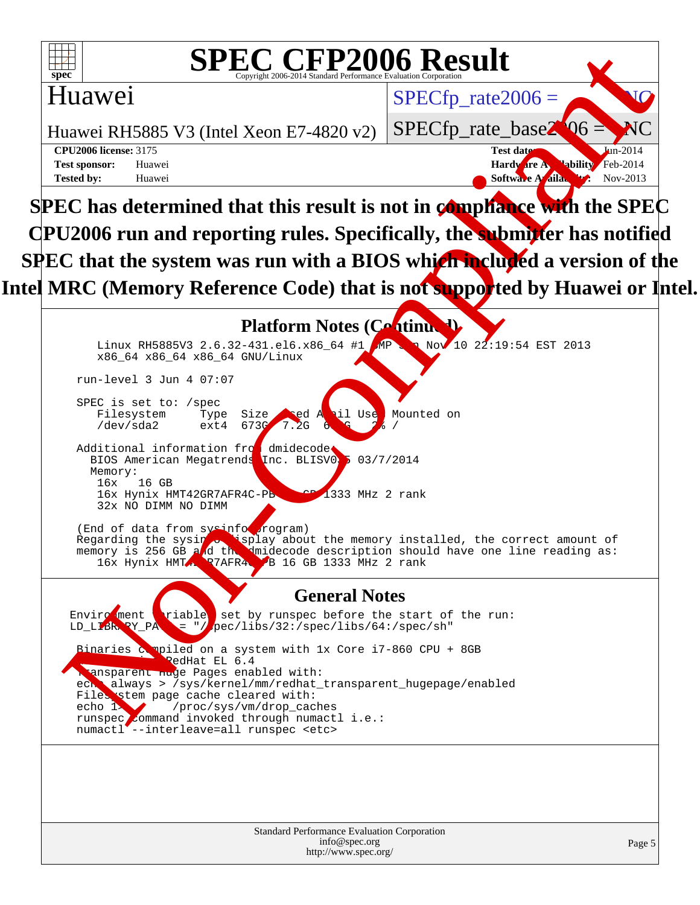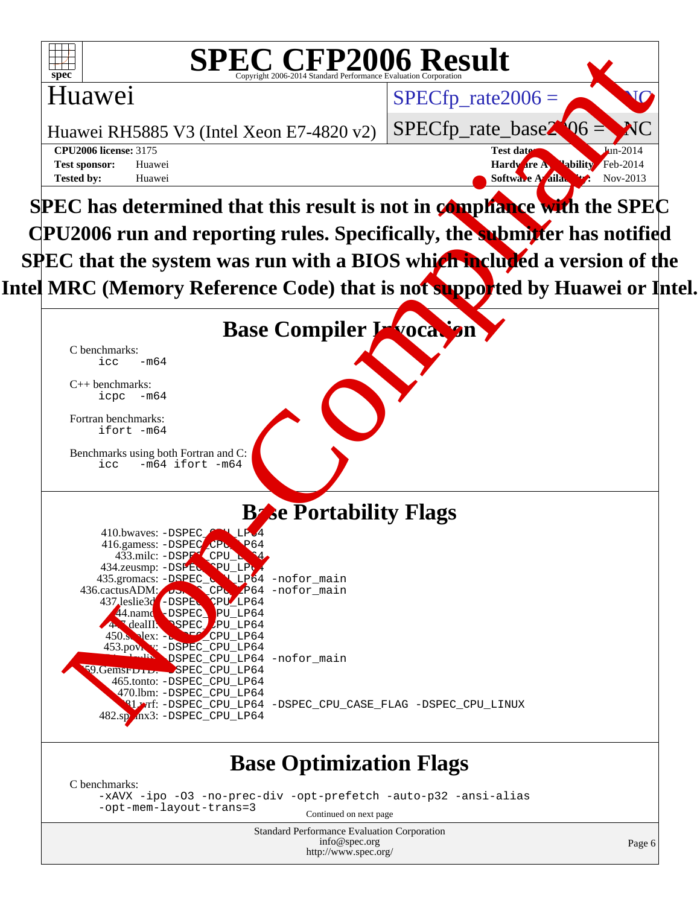

# **SPEC CFP2006 Result**  $SPECfp$  rate2006 =

### Huawei

Huawei RH5885 V3 (Intel Xeon E7-4820 v2)

**[Tested by:](http://www.spec.org/auto/cpu2006/Docs/result-fields.html#Testedby)** Huawei **[Software Availability:](http://www.spec.org/auto/cpu2006/Docs/result-fields.html#SoftwareAvailability)** Nov-2013

SPECfp\_rate\_base2 **[CPU2006 license:](http://www.spec.org/auto/cpu2006/Docs/result-fields.html#CPU2006license)** 3175 **Test date:** Jun-2014 **[Test sponsor:](http://www.spec.org/auto/cpu2006/Docs/result-fields.html#Testsponsor)** Huawei **Hardware Availability**: Feb-2014

**SPEC has determined that this result is not in compliance with the SPEC CPU2006 run and reporting rules. Specifically, the submitter has notified SPEC** that the system was run with a BIOS which included a version of the Intel MRC (Memory Reference Code) that is not supported by Huawei or Intel.

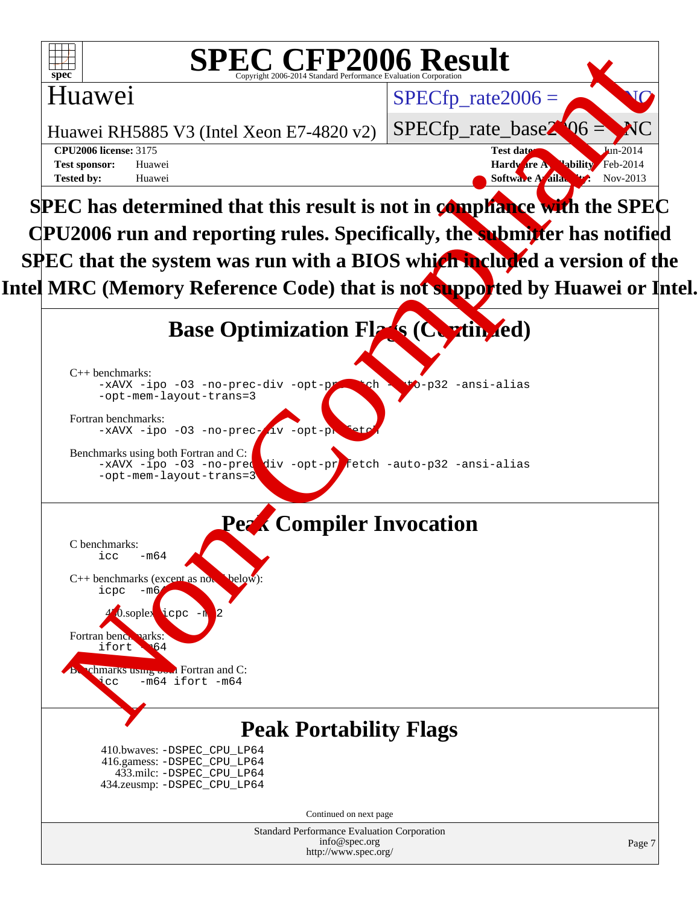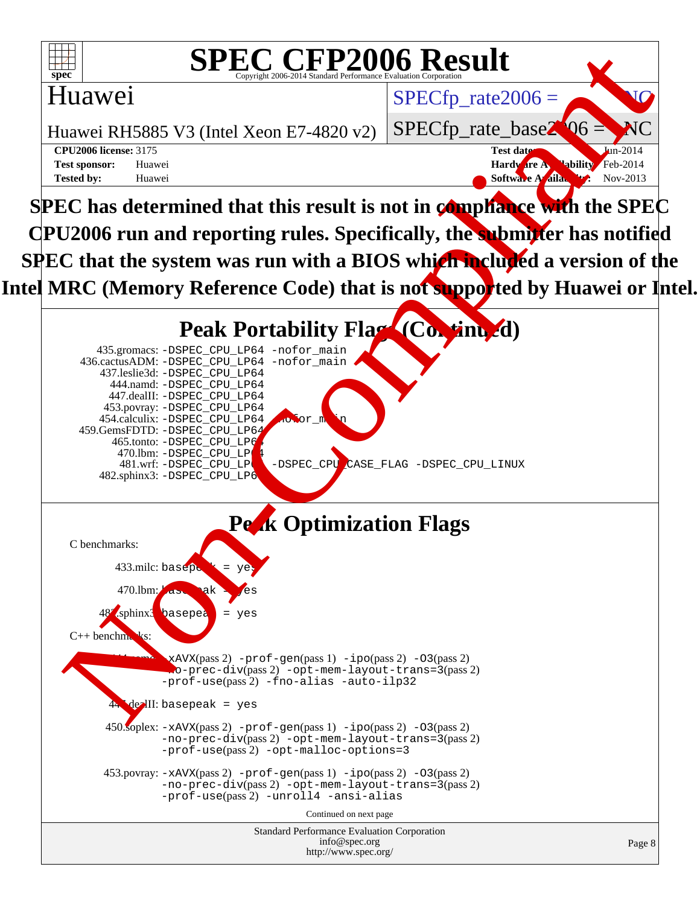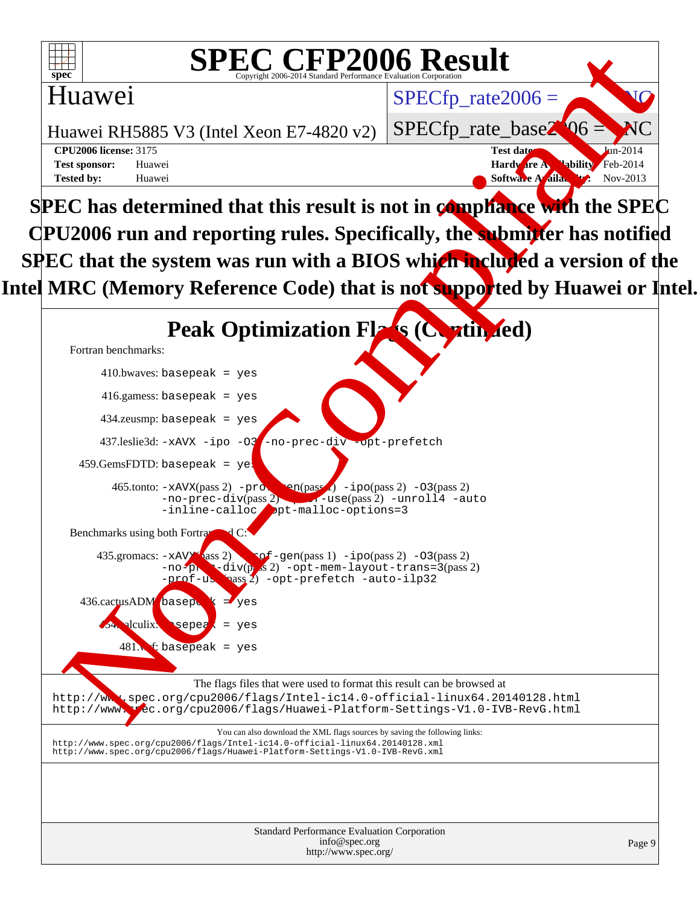

# **SPEC CFP2006 Result**  $SPECfp$  rate2006 =

### Huawei

Huawei RH5885 V3 (Intel Xeon E7-4820 v2)

**[Tested by:](http://www.spec.org/auto/cpu2006/Docs/result-fields.html#Testedby)** Huawei **[Software Availability:](http://www.spec.org/auto/cpu2006/Docs/result-fields.html#SoftwareAvailability)** Nov-2013

SPECfp\_rate\_base2 **[CPU2006 license:](http://www.spec.org/auto/cpu2006/Docs/result-fields.html#CPU2006license)** 3175 **Test date:** Jun-2014 **[Test sponsor:](http://www.spec.org/auto/cpu2006/Docs/result-fields.html#Testsponsor)** Huawei **Hardware Availability**: Feb-2014

**SPEC has determined that this result is not in compliance with the SPEC CPU2006 run and reporting rules. Specifically, the submitter has notified SPEC** that the system was run with a BIOS which included a version of the Intel MRC (Memory Reference Code) that is not supported by Huawei or Intel.